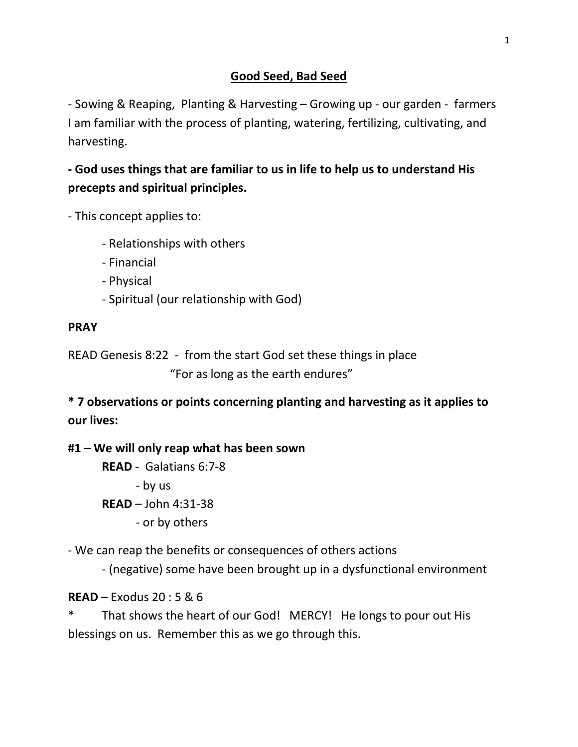# **Good Seed, Bad Seed**

- Sowing & Reaping, Planting & Harvesting – Growing up - our garden - farmers I am familiar with the process of planting, watering, fertilizing, cultivating, and harvesting.

**- God uses things that are familiar to us in life to help us to understand His precepts and spiritual principles.**

- This concept applies to:

- Relationships with others
- Financial
- Physical
- Spiritual (our relationship with God)

# **PRAY**

READ Genesis 8:22 - from the start God set these things in place "For as long as the earth endures"

**\* 7 observations or points concerning planting and harvesting as it applies to our lives:**

# **#1 – We will only reap what has been sown**

**READ** - Galatians 6:7-8 - by us **READ** – John 4:31-38 - or by others

- We can reap the benefits or consequences of others actions

- (negative) some have been brought up in a dysfunctional environment

**READ** – Exodus 20 : 5 & 6

That shows the heart of our God! MERCY! He longs to pour out His blessings on us. Remember this as we go through this.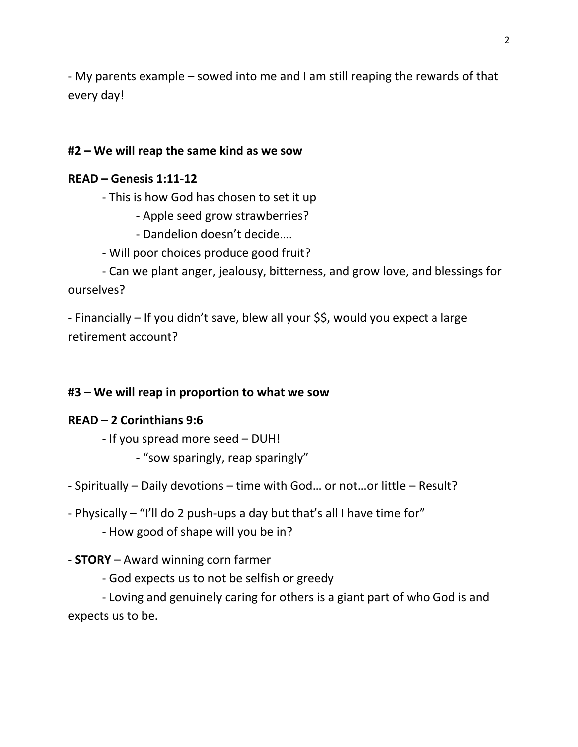- My parents example – sowed into me and I am still reaping the rewards of that every day!

# **#2 – We will reap the same kind as we sow**

## **READ – Genesis 1:11-12**

- This is how God has chosen to set it up

- Apple seed grow strawberries?

- Dandelion doesn't decide….
- Will poor choices produce good fruit?

- Can we plant anger, jealousy, bitterness, and grow love, and blessings for ourselves?

- Financially – If you didn't save, blew all your \$\$, would you expect a large retirement account?

## **#3 – We will reap in proportion to what we sow**

# **READ – 2 Corinthians 9:6**

- If you spread more seed – DUH!

- "sow sparingly, reap sparingly"

- Spiritually – Daily devotions – time with God… or not…or little – Result?

- Physically – "I'll do 2 push-ups a day but that's all I have time for"

- How good of shape will you be in?

# - **STORY** – Award winning corn farmer

- God expects us to not be selfish or greedy

- Loving and genuinely caring for others is a giant part of who God is and expects us to be.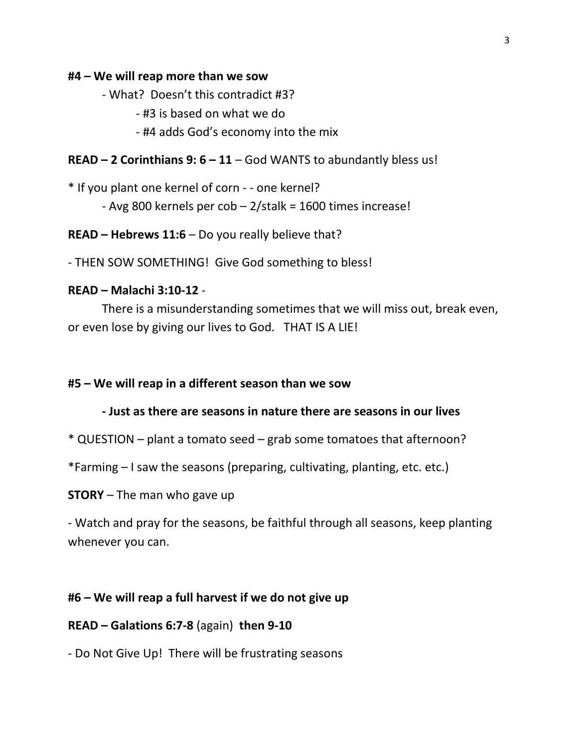#### **#4 – We will reap more than we sow**

- What? Doesn't this contradict #3?

- #3 is based on what we do
- #4 adds God's economy into the mix

#### **READ – 2 Corinthians 9: 6 – 11** – God WANTS to abundantly bless us!

\* If you plant one kernel of corn - - one kernel?

- Avg 800 kernels per cob – 2/stalk = 1600 times increase!

**READ – Hebrews 11:6** – Do you really believe that?

- THEN SOW SOMETHING! Give God something to bless!

#### **READ – Malachi 3:10-12** -

There is a misunderstanding sometimes that we will miss out, break even, or even lose by giving our lives to God. THAT IS A LIE!

#### **#5 – We will reap in a different season than we sow**

#### **- Just as there are seasons in nature there are seasons in our lives**

\* QUESTION – plant a tomato seed – grab some tomatoes that afternoon?

\*Farming – I saw the seasons (preparing, cultivating, planting, etc. etc.)

**STORY** – The man who gave up

- Watch and pray for the seasons, be faithful through all seasons, keep planting whenever you can.

## **#6 – We will reap a full harvest if we do not give up**

#### **READ – Galations 6:7-8** (again) **then 9-10**

- Do Not Give Up! There will be frustrating seasons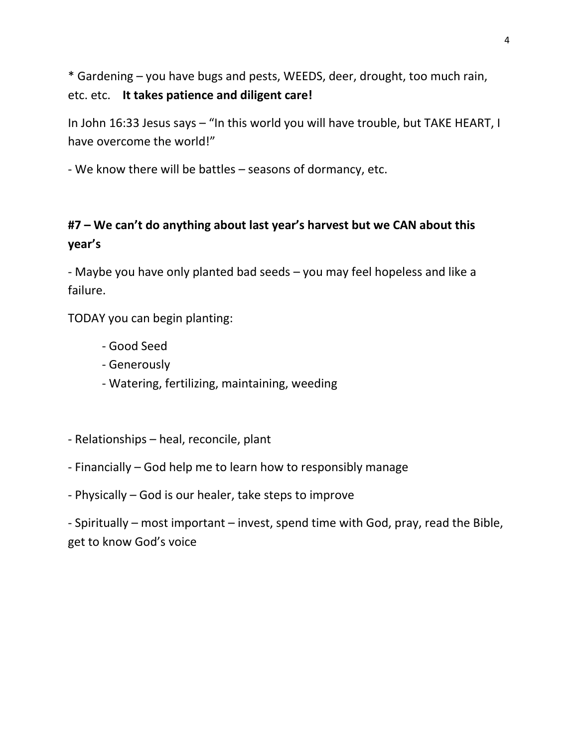\* Gardening – you have bugs and pests, WEEDS, deer, drought, too much rain, etc. etc. **It takes patience and diligent care!**

In John 16:33 Jesus says – "In this world you will have trouble, but TAKE HEART, I have overcome the world!"

- We know there will be battles – seasons of dormancy, etc.

# **#7 – We can't do anything about last year's harvest but we CAN about this year's**

- Maybe you have only planted bad seeds – you may feel hopeless and like a failure.

TODAY you can begin planting:

- Good Seed
- Generously
- Watering, fertilizing, maintaining, weeding
- Relationships heal, reconcile, plant
- Financially God help me to learn how to responsibly manage
- Physically God is our healer, take steps to improve

- Spiritually – most important – invest, spend time with God, pray, read the Bible, get to know God's voice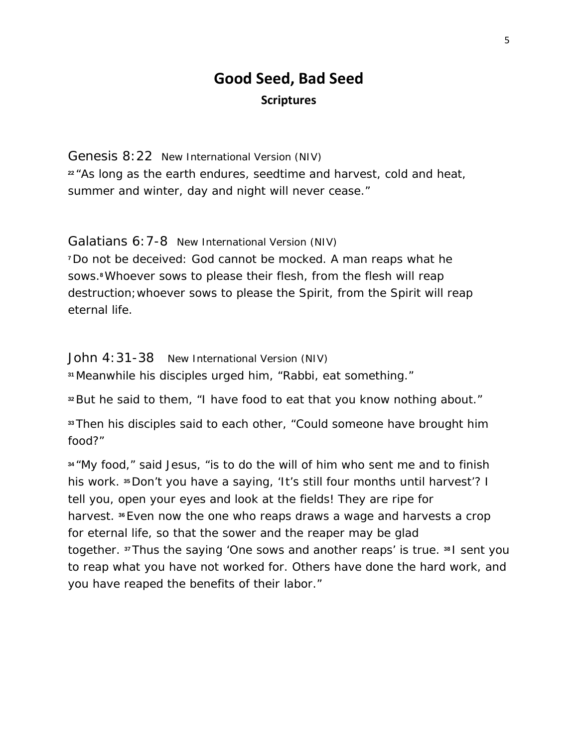# **Good Seed, Bad Seed Scriptures**

Genesis 8:22 New International Version (NIV) **<sup>22</sup>** "As long as the earth endures, seedtime and harvest, cold and heat, summer and winter, day and night will never cease."

Galatians 6:7-8 New International Version (NIV) **<sup>7</sup>**Do not be deceived: God cannot be mocked. A man reaps what he sows.**8**Whoever sows to please their flesh, from the flesh will reap destruction;whoever sows to please the Spirit, from the Spirit will reap

John 4:31-38 New International Version (NIV)

eternal life.

**<sup>31</sup>** Meanwhile his disciples urged him, "Rabbi, eat something."

**<sup>32</sup>**But he said to them, "I have food to eat that you know nothing about."

**<sup>33</sup>**Then his disciples said to each other, "Could someone have brought him food?"

**<sup>34</sup>** "My food," said Jesus, "is to do the will of him who sent me and to finish his work. **<sup>35</sup>**Don't you have a saying, 'It's still four months until harvest'? I tell you, open your eyes and look at the fields! They are ripe for harvest. **<sup>36</sup>**Even now the one who reaps draws a wage and harvests a crop for eternal life, so that the sower and the reaper may be glad together. **<sup>37</sup>**Thus the saying 'One sows and another reaps' is true. **<sup>38</sup>** I sent you to reap what you have not worked for. Others have done the hard work, and you have reaped the benefits of their labor."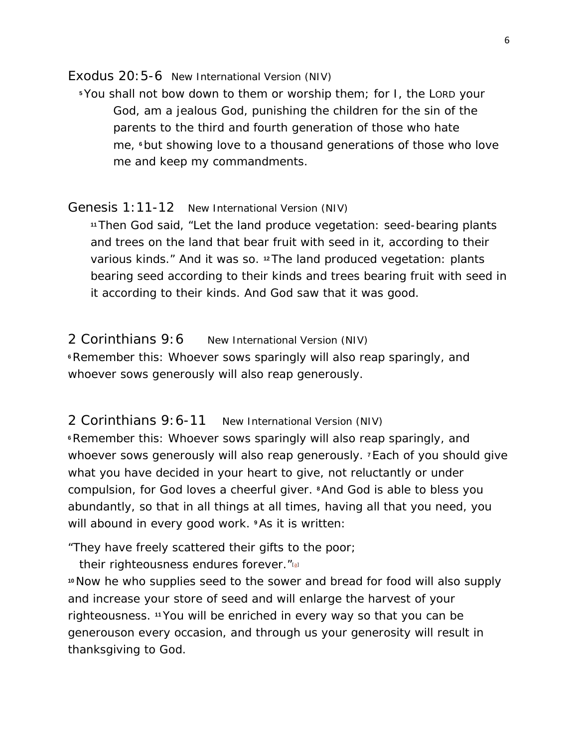Exodus 20:5-6 New International Version (NIV)

**<sup>5</sup>**You shall not bow down to them or worship them; for I, the LORD your God, am a jealous God, punishing the children for the sin of the parents to the third and fourth generation of those who hate me, **<sup>6</sup>**but showing love to a thousand generations of those who love me and keep my commandments.

#### Genesis 1:11-12 New International Version (NIV)

**<sup>11</sup>**Then God said, "Let the land produce vegetation: seed-bearing plants and trees on the land that bear fruit with seed in it, according to their various kinds." And it was so. **<sup>12</sup>**The land produced vegetation: plants bearing seed according to their kinds and trees bearing fruit with seed in it according to their kinds. And God saw that it was good.

### 2 Corinthians 9:6 New International Version (NIV)

**<sup>6</sup>**Remember this: Whoever sows sparingly will also reap sparingly, and whoever sows generously will also reap generously.

## 2 Corinthians 9:6-11 New International Version (NIV)

**<sup>6</sup>**Remember this: Whoever sows sparingly will also reap sparingly, and whoever sows generously will also reap generously. **<sup>7</sup>**Each of you should give what you have decided in your heart to give, not reluctantly or under compulsion, for God loves a cheerful giver. **<sup>8</sup>**And God is able to bless you abundantly, so that in all things at all times, having all that you need, you will abound in every good work. **<sup>9</sup>**As it is written:

"They have freely scattered their gifts to the poor;

their righteousness endures forever."<sup>[\[a\]](https://www.biblegateway.com/passage/?search=2+cor+9%3A6-11&version=NIV#fen-NIV-28966a)</sup>

**<sup>10</sup>**Now he who supplies seed to the sower and bread for food will also supply and increase your store of seed and will enlarge the harvest of your righteousness. **<sup>11</sup>**You will be enriched in every way so that you can be generouson every occasion, and through us your generosity will result in thanksgiving to God.